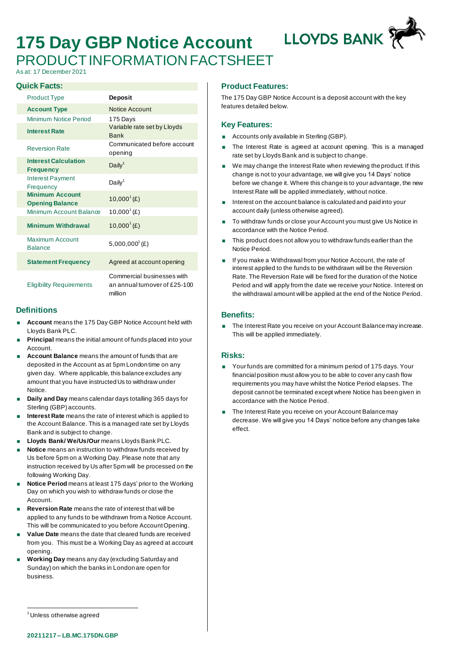# **175 Day GBP Notice Account** PRODUCT INFORMATION FACTSHEET

As at: 17 December 2021

#### **Quick Facts:**

| <b>Product Type</b>                              | <b>Deposit</b>                                                        |
|--------------------------------------------------|-----------------------------------------------------------------------|
| <b>Account Type</b>                              | Notice Account                                                        |
| Minimum Notice Period                            | 175 Days                                                              |
| <b>Interest Rate</b>                             | Variable rate set by Lloyds<br><b>Bank</b>                            |
| <b>Reversion Rate</b>                            | Communicated before account<br>opening                                |
| <b>Interest Calculation</b><br><b>Frequency</b>  | Daily <sup>1</sup>                                                    |
| <b>Interest Payment</b><br>Frequency             | Daily <sup>1</sup>                                                    |
| <b>Minimum Account</b><br><b>Opening Balance</b> | $10,000^1$ (£)                                                        |
| Minimum Account Balance                          | $10,000^{\circ}$ (£)                                                  |
| <b>Minimum Withdrawal</b>                        | $10,000^1$ (£)                                                        |
| Maximum Account<br><b>Balance</b>                | $5,000,000^{\circ}$ (£)                                               |
| <b>Statement Frequency</b>                       | Agreed at account opening                                             |
| <b>Eligibility Requirements</b>                  | Commercial businesses with<br>an annual tumover of £25-100<br>million |

## **Definitions**

- **Account** means the 175 Day GBP Notice Account held with Lloyds Bank PLC.
- **Principal** means the initial amount of funds placed into your Account.
- **Account Balance** means the amount of funds that are deposited in the Account as at 5pm London time on any given day. Where applicable, this balance excludes any amount that you have instructed Us to withdraw under Notice.
- **Daily and Day** means calendar days totalling 365 days for Sterling (GBP) accounts.
- **Interest Rate** means the rate of interest which is applied to the Account Balance. This is a managed rate set by Lloyds Bank and is subject to change.
- **Lloyds Bank/ We/Us/Our** means Lloyds Bank PLC.
- **Notice** means an instruction to withdraw funds received by Us before 5pm on a Working Day. Please note that any instruction received by Us after 5pm will be processed on the following Working Day.
- **Notice Period** means at least 175 days' prior to the Working Day on which you wish to withdraw funds or close the Account.
- **Reversion Rate** means the rate of interest that will be applied to any funds to be withdrawn from a Notice Account. This will be communicated to you before Account Opening.
- **Value Date** means the date that cleared funds are received from you. This must be a Working Day as agreed at account opening.
- **Working Day** means any day (excluding Saturday and Sunday) on which the banks in London are open for business.

#### **Product Features:**

The 175 Day GBP Notice Account is a deposit account with the key features detailed below.

**LLOYDS BANK** 

#### **Key Features:**

- Accounts only available in Sterling (GBP).
- The Interest Rate is agreed at account opening. This is a managed rate set by Lloyds Bank and is subject to change.
- We may change the Interest Rate when reviewing the product. If this change is not to your advantage, we will give you 14 Days' notice before we change it. Where this change is to your advantage, the new Interest Rate will be applied immediately, without notice.
- Interest on the account balance is calculated and paid into your account daily (unless otherwise agreed).
- To withdraw funds or close your Account you must give Us Notice in accordance with the Notice Period.
- This product does not allow you to withdraw funds earlier than the Notice Period.
- If you make a Withdrawal from your Notice Account, the rate of interest applied to the funds to be withdrawn will be the Reversion Rate. The Reversion Rate will be fixed for the duration of the Notice Period and will apply from the date we receive your Notice. Interest on the withdrawal amount will be applied at the end of the Notice Period.

### **Benefits:**

 The Interest Rate you receive on your Account Balance may increase. This will be applied immediately.

#### **Risks:**

- Your funds are committed for a minimum period of 175 days. Your financial position must allow you to be able to cover any cash flow requirements you may have whilst the Notice Period elapses. The deposit cannot be terminated except where Notice has been given in accordance with the Notice Period.
- The Interest Rate you receive on your Account Balance may decrease. We will give you 14 Days' notice before any changes take effect.

<sup>1</sup> Unless otherwise agreed